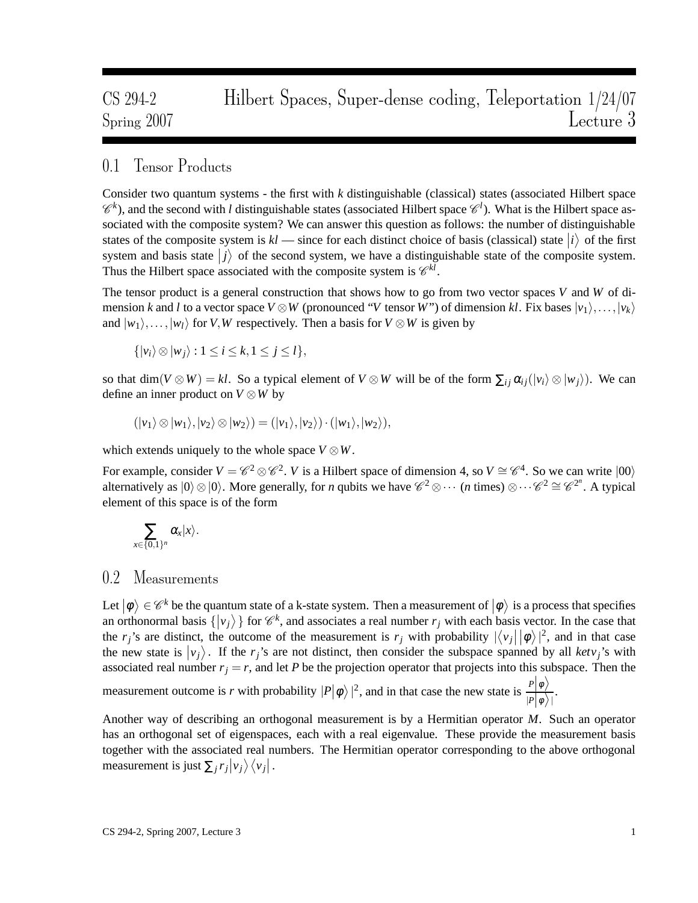# CS 294-2 Hilbert Spaces, Super-dense coding, Teleportation 1/24/07 Spring 2007 Lecture 3

## 0.1 Tensor Products

Consider two quantum systems - the first with *k* distinguishable (classical) states (associated Hilbert space  $\mathscr{C}^k$ ), and the second with *l* distinguishable states (associated Hilbert space  $\mathscr{C}^l$ ). What is the Hilbert space associated with the composite system? We can answer this question as follows: the number of distinguishable states of the composite system is  $kl$  — since for each distinct choice of basis (classical) state  $|i\rangle$  of the first system and basis state  $|j\rangle$  of the second system, we have a distinguishable state of the composite system. Thus the Hilbert space associated with the composite system is  $\mathcal{C}^{kl}$ .

The tensor product is a general construction that shows how to go from two vector spaces *V* and *W* of dimension *k* and *l* to a vector space  $V \otimes W$  (pronounced "*V* tensor *W*") of dimension *kl*. Fix bases  $|v_1\rangle, \ldots, |v_k\rangle$ and  $|w_1\rangle, \ldots, |w_l\rangle$  for *V*, *W* respectively. Then a basis for  $V \otimes W$  is given by

 $\{|v_i\rangle \otimes |w_j\rangle : 1 \leq i \leq k, 1 \leq j \leq l\},\$ 

so that  $\dim(V \otimes W) = kl$ . So a typical element of  $V \otimes W$  will be of the form  $\sum_{ij} \alpha_{ij}(|v_i\rangle \otimes |w_j\rangle)$ . We can define an inner product on *V* ⊗*W* by

$$
(|v_1\rangle \otimes |w_1\rangle, |v_2\rangle \otimes |w_2\rangle) = (|v_1\rangle, |v_2\rangle) \cdot (|w_1\rangle, |w_2\rangle),
$$

which extends uniquely to the whole space  $V \otimes W$ .

For example, consider  $V = \mathcal{C}^2 \otimes \mathcal{C}^2$ . *V* is a Hilbert space of dimension 4, so  $V \cong \mathcal{C}^4$ . So we can write  $|00\rangle$ alternatively as  $|0\rangle \otimes |0\rangle$ . More generally, for *n* qubits we have  $\mathcal{C}^2 \otimes \cdots$  (*n* times)  $\otimes \cdots \mathcal{C}^2 \cong \mathcal{C}^{2^n}$ . A typical element of this space is of the form

$$
\sum_{x\in\{0,1\}^n}\alpha_x|x\rangle.
$$

#### 0.2 Measurements

Let  $|\phi\rangle \in \mathcal{C}^k$  be the quantum state of a k-state system. Then a measurement of  $|\phi\rangle$  is a process that specifies an orthonormal basis  $\{ |v_j \rangle \}$  for  $\mathcal{C}^k$ , and associates a real number  $r_j$  with each basis vector. In the case that the *r<sub>j</sub>*'s are distinct, the outcome of the measurement is *r<sub>j</sub>* with probability  $|\langle v_j | \phi \rangle|^2$ , and in that case the new state is  $|v_j\rangle$ . If the *r<sub>j</sub>*'s are not distinct, then consider the subspace spanned by all *ketv<sub>j</sub>*'s with associated real number  $r_j = r$ , and let *P* be the projection operator that projects into this subspace. Then the

measurement outcome is *r* with probability  $|P|\phi\rangle|^2$ , and in that case the new state is  $\frac{P|\phi\rangle}{|P|\phi\rangle}$  $|P|\phi\rangle$ .

Another way of describing an orthogonal measurement is by a Hermitian operator *M*. Such an operator has an orthogonal set of eigenspaces, each with a real eigenvalue. These provide the measurement basis together with the associated real numbers. The Hermitian operator corresponding to the above orthogonal measurement is just  $\sum_j r_j |v_j\rangle \langle v_j|$ .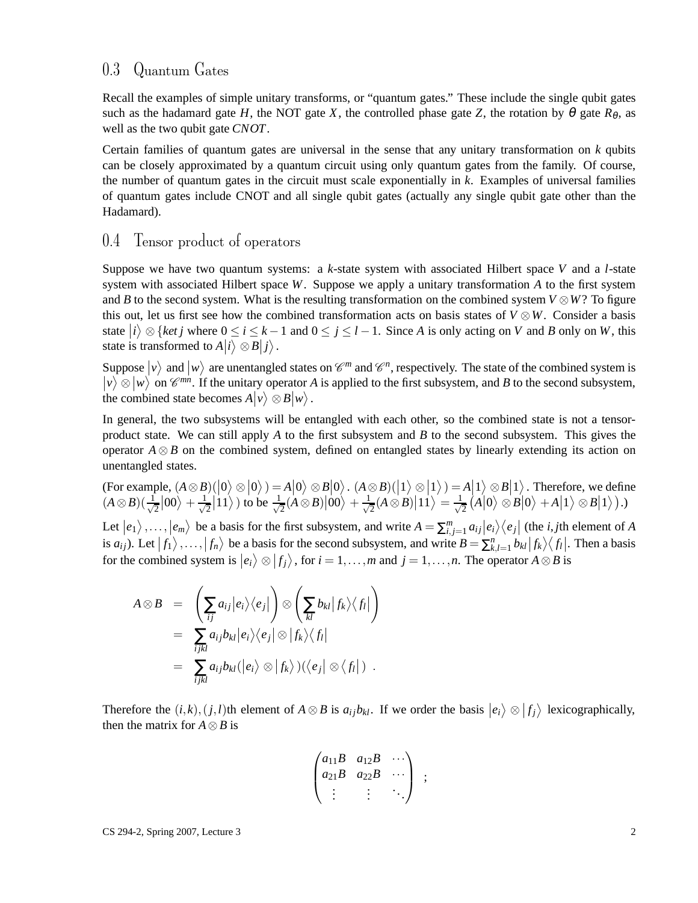### 0.3 Quantum Gates

Recall the examples of simple unitary transforms, or "quantum gates." These include the single qubit gates such as the hadamard gate *H*, the NOT gate *X*, the controlled phase gate *Z*, the rotation by  $\theta$  gate  $R_{\theta}$ , as well as the two qubit gate *CNOT*.

Certain families of quantum gates are universal in the sense that any unitary transformation on *k* qubits can be closely approximated by a quantum circuit using only quantum gates from the family. Of course, the number of quantum gates in the circuit must scale exponentially in *k*. Examples of universal families of quantum gates include CNOT and all single qubit gates (actually any single qubit gate other than the Hadamard).

#### 0.4 Tensor product of operators

Suppose we have two quantum systems: a *k*-state system with associated Hilbert space *V* and a *l*-state system with associated Hilbert space *W*. Suppose we apply a unitary transformation *A* to the first system and *B* to the second system. What is the resulting transformation on the combined system  $V \otimes W$ ? To figure this out, let us first see how the combined transformation acts on basis states of  $V \otimes W$ . Consider a basis state  $|i\rangle \otimes \{ket\{jet\}$  where  $0 \le i \le k-1$  and  $0 \le j \le l-1$ . Since *A* is only acting on *V* and *B* only on *W*, this state is transformed to  $A|i\rangle \otimes B|j\rangle$ .

Suppose  $|v\rangle$  and  $|w\rangle$  are unentangled states on  $\mathcal{C}^m$  and  $\mathcal{C}^n$ , respectively. The state of the combined system is  $|v\rangle \otimes |w\rangle$  on  $\mathscr{C}^{mn}$ . If the unitary operator *A* is applied to the first subsystem, and *B* to the second subsystem, the combined state becomes  $A|v\rangle \otimes B|w\rangle$ .

In general, the two subsystems will be entangled with each other, so the combined state is not a tensorproduct state. We can still apply *A* to the first subsystem and *B* to the second subsystem. This gives the operator  $A \otimes B$  on the combined system, defined on entangled states by linearly extending its action on unentangled states.

 $(For example, (A \otimes B)(0 \otimes 0) = A(0 \otimes B(0) \ldots (A \otimes B)(1 \otimes 1) = A(1) \otimes B(1)$ . Therefore, we define  $(A \otimes B)(\frac{1}{\sqrt{2}})$  $\frac{1}{2}$ |00 $\rangle + \frac{1}{\sqrt{2}}$  $\frac{1}{2}$ |11 $\rangle$ ) to be  $\frac{1}{\sqrt{2}}$  $\frac{1}{2}(A \otimes B)\big|00\big> + \frac{1}{\sqrt{2}}$  $\frac{1}{2}(A \otimes B) |11\rangle = \frac{1}{\sqrt{2}}$  $\frac{1}{2}(A|0\rangle \otimes B|0\rangle + A|1\rangle \otimes B|1\rangle).$ 

Let  $|e_1\rangle, \ldots, |e_m\rangle$  be a basis for the first subsystem, and write  $A = \sum_{i,j=1}^m a_{ij} |e_i\rangle\langle e_j|$  (the *i*, *j*th element of *A* is  $a_{ij}$ ). Let  $|f_1\rangle, \ldots, |f_n\rangle$  be a basis for the second subsystem, and write  $B = \sum_{k,l=1}^n b_{kl} |f_k\rangle \langle f_l|$ . Then a basis for the combined system is  $|e_i\rangle \otimes |f_j\rangle$ , for  $i = 1, ..., m$  and  $j = 1, ..., n$ . The operator  $A \otimes B$  is

$$
A \otimes B = \left(\sum_{ij} a_{ij} |e_i\rangle\langle e_j| \right) \otimes \left(\sum_{kl} b_{kl} |f_k\rangle\langle f_l| \right)
$$
  
= 
$$
\sum_{ijkl} a_{ij} b_{kl} |e_i\rangle\langle e_j| \otimes |f_k\rangle\langle f_l|
$$
  
= 
$$
\sum_{ijkl} a_{ij} b_{kl} (|e_i\rangle \otimes |f_k\rangle) (\langle e_j| \otimes \langle f_l|).
$$

Therefore the  $(i, k), (j, l)$ th element of  $A \otimes B$  is  $a_{ij}b_{kl}$ . If we order the basis  $|e_i\rangle \otimes |f_j\rangle$  lexicographically, then the matrix for  $A \otimes B$  is

$$
\begin{pmatrix} a_{11}B & a_{12}B & \cdots \\ a_{21}B & a_{22}B & \cdots \\ \vdots & \vdots & \ddots \end{pmatrix} ;
$$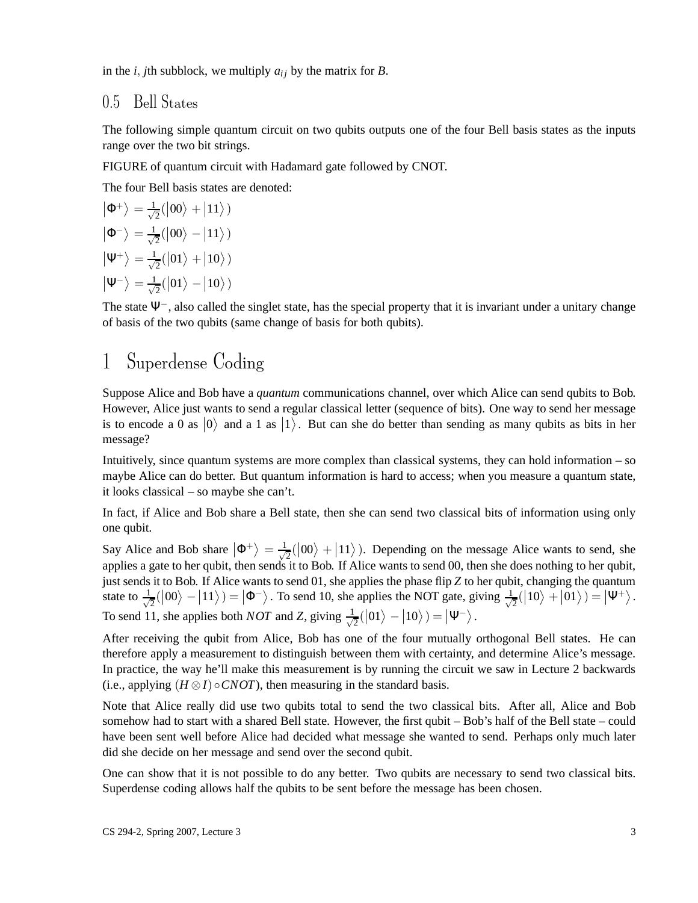in the *i*, *j*th subblock, we multiply  $a_{ij}$  by the matrix for *B*.

### 0.5 Bell States

The following simple quantum circuit on two qubits outputs one of the four Bell basis states as the inputs range over the two bit strings.

FIGURE of quantum circuit with Hadamard gate followed by CNOT.

The four Bell basis states are denoted:

$$
|\Phi^{+}\rangle = \frac{1}{\sqrt{2}}(|00\rangle + |11\rangle)
$$

$$
|\Phi^{-}\rangle = \frac{1}{\sqrt{2}}(|00\rangle - |11\rangle)
$$

$$
|\Psi^{+}\rangle = \frac{1}{\sqrt{2}}(|01\rangle + |10\rangle)
$$

$$
|\Psi^{-}\rangle = \frac{1}{\sqrt{2}}(|01\rangle - |10\rangle)
$$

The state  $\Psi^-$ , also called the singlet state, has the special property that it is invariant under a unitary change of basis of the two qubits (same change of basis for both qubits).

# 1 Superdense Coding

Suppose Alice and Bob have a *quantum* communications channel, over which Alice can send qubits to Bob. However, Alice just wants to send a regular classical letter (sequence of bits). One way to send her message is to encode a 0 as  $|0\rangle$  and a 1 as  $|1\rangle$ . But can she do better than sending as many qubits as bits in her message?

Intuitively, since quantum systems are more complex than classical systems, they can hold information – so maybe Alice can do better. But quantum information is hard to access; when you measure a quantum state, it looks classical – so maybe she can't.

In fact, if Alice and Bob share a Bell state, then she can send two classical bits of information using only one qubit.

Say Alice and Bob share  $|\Phi^+\rangle = \frac{1}{\sqrt{2}}$  $\frac{1}{2}(|00\rangle + |11\rangle)$ . Depending on the message Alice wants to send, she applies a gate to her qubit, then sends it to Bob. If Alice wants to send 00, then she does nothing to her qubit, just sends it to Bob. If Alice wants to send 01, she applies the phase flip *Z* to her qubit, changing the quantum state to  $\frac{1}{\sqrt{2}}$  $\frac{1}{2}(|00\rangle - |11\rangle) = |\Phi^-\rangle$ . To send 10, she applies the NOT gate, giving  $\frac{1}{\sqrt{2}}$  $\frac{1}{2}(|10\rangle+|01\rangle)=|\Psi^+\rangle.$ To send 11, she applies both *NOT* and *Z*, giving  $\frac{1}{\sqrt{2}}$  $\frac{1}{2}(|01\rangle - |10\rangle) = |\Psi^{-}\rangle.$ 

After receiving the qubit from Alice, Bob has one of the four mutually orthogonal Bell states. He can therefore apply a measurement to distinguish between them with certainty, and determine Alice's message. In practice, the way he'll make this measurement is by running the circuit we saw in Lecture 2 backwards (i.e., applying  $(H \otimes I) \circ CNOT$ ), then measuring in the standard basis.

Note that Alice really did use two qubits total to send the two classical bits. After all, Alice and Bob somehow had to start with a shared Bell state. However, the first qubit – Bob's half of the Bell state – could have been sent well before Alice had decided what message she wanted to send. Perhaps only much later did she decide on her message and send over the second qubit.

One can show that it is not possible to do any better. Two qubits are necessary to send two classical bits. Superdense coding allows half the qubits to be sent before the message has been chosen.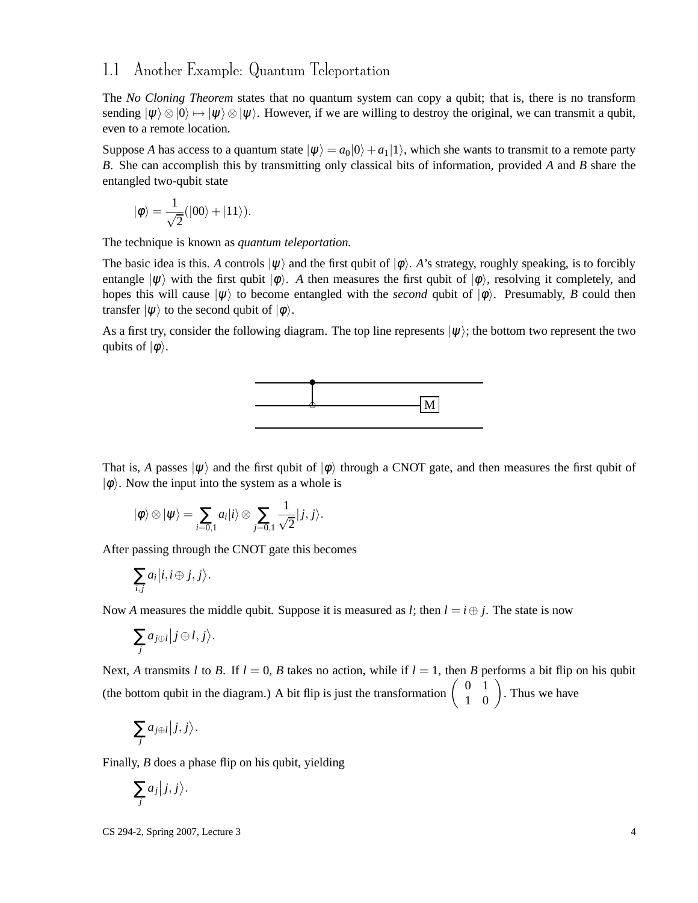## 1.1 Another Example: Quantum Teleportation

The *No Cloning Theorem* states that no quantum system can copy a qubit; that is, there is no transform sending  $|\psi\rangle \otimes |0\rangle \mapsto |\psi\rangle \otimes |\psi\rangle$ . However, if we are willing to destroy the original, we can transmit a qubit, even to a remote location.

Suppose *A* has access to a quantum state  $|\psi\rangle = a_0|0\rangle + a_1|1\rangle$ , which she wants to transmit to a remote party *B*. She can accomplish this by transmitting only classical bits of information, provided *A* and *B* share the entangled two-qubit state

$$
|\phi\rangle = \frac{1}{\sqrt{2}}(|00\rangle + |11\rangle).
$$

The technique is known as *quantum teleportation.*

The basic idea is this. *A* controls  $|\psi\rangle$  and the first qubit of  $|\phi\rangle$ . *A*'s strategy, roughly speaking, is to forcibly entangle  $|\psi\rangle$  with the first qubit  $|\phi\rangle$ . *A* then measures the first qubit of  $|\phi\rangle$ , resolving it completely, and hopes this will cause  $|\psi\rangle$  to become entangled with the *second* qubit of  $|\phi\rangle$ . Presumably, *B* could then transfer  $|\psi\rangle$  to the second qubit of  $|\phi\rangle$ .

As a first try, consider the following diagram. The top line represents  $|\psi\rangle$ ; the bottom two represent the two qubits of  $|\phi\rangle$ .



That is, *A* passes  $|\psi\rangle$  and the first qubit of  $|\phi\rangle$  through a CNOT gate, and then measures the first qubit of  $|\phi\rangle$ . Now the input into the system as a whole is

$$
|\phi\rangle \otimes |\psi\rangle = \sum_{i=0,1} a_i |i\rangle \otimes \sum_{j=0,1} \frac{1}{\sqrt{2}} |j,j\rangle.
$$

After passing through the CNOT gate this becomes

.

$$
\sum_{i,j} a_i | i,i \oplus j, j \rangle
$$

Now *A* measures the middle qubit. Suppose it is measured as *l*; then  $l = i \oplus j$ . The state is now

$$
\sum_j a_{j\oplus l} |j\oplus l,j\rangle.
$$

Next, *A* transmits *l* to *B*. If  $l = 0$ , *B* takes no action, while if  $l = 1$ , then *B* performs a bit flip on his qubit (the bottom qubit in the diagram.) A bit flip is just the transformation  $\begin{pmatrix} 0 & 1 \\ 1 & 0 \end{pmatrix}$ . Thus we have

$$
\sum_j a_{j\oplus l} |j,j\rangle.
$$

Finally, *B* does a phase flip on his qubit, yielding

$$
\sum_j a_j |j,j\rangle.
$$

CS 294-2, Spring 2007, Lecture 3 4